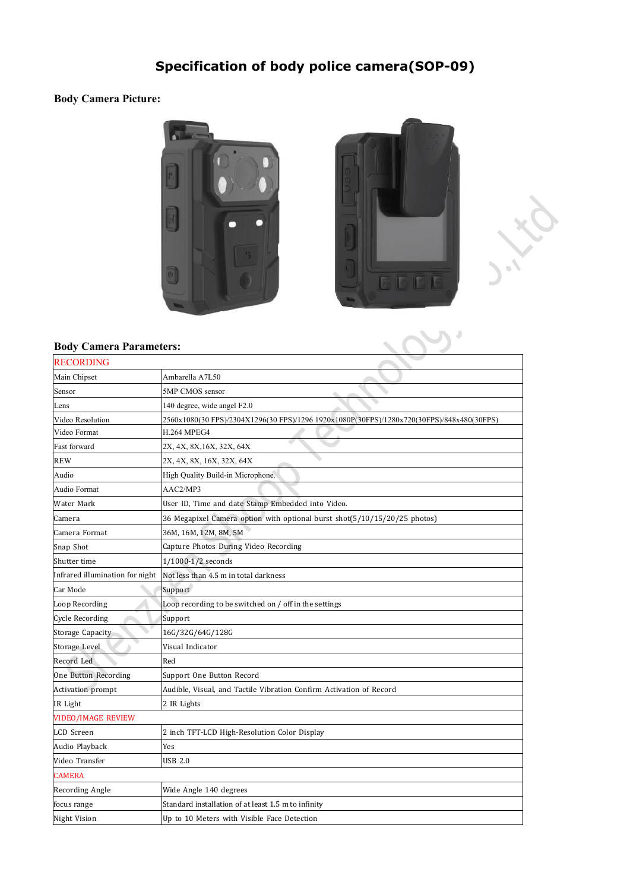## **Specification of body police camera(SOP-09)**

## **Body Camera Picture:**







## **Body Camera Parameters:**

| <b>RECORDING</b>                |                                                                                           |
|---------------------------------|-------------------------------------------------------------------------------------------|
| Main Chipset                    | Ambarella A7L50                                                                           |
| Sensor                          | 5MP CMOS sensor                                                                           |
| Lens                            | 140 degree, wide angel F2.0                                                               |
| Video Resolution                | 2560x1080(30 FPS)/2304X1296(30 FPS)/1296 1920x1080P(30FPS)/1280x720(30FPS)/848x480(30FPS) |
| Video Format                    | <b>H.264 MPEG4</b>                                                                        |
| Fast forward                    | 2X, 4X, 8X, 16X, 32X, 64X                                                                 |
| <b>REW</b>                      | 2X, 4X, 8X, 16X, 32X, 64X                                                                 |
| Audio                           | High Quality Build-in Microphone.                                                         |
| Audio Format                    | AAC2/MP3                                                                                  |
| Water Mark                      | User ID, Time and date Stamp Embedded into Video.                                         |
| Camera                          | 36 Megapixel Camera option with optional burst shot(5/10/15/20/25 photos)                 |
| Camera Format                   | 36M, 16M, 12M, 8M, 5M                                                                     |
| Snap Shot                       | Capture Photos During Video Recording                                                     |
| Shutter time                    | 1/1000-1/2 seconds                                                                        |
| Infrared illumination for night | Not less than 4.5 m in total darkness                                                     |
| Car Mode                        | Support                                                                                   |
| Loop Recording                  | Loop recording to be switched on / off in the settings                                    |
| Cycle Recording                 | Support                                                                                   |
| Storage Capacity                | 16G/32G/64G/128G                                                                          |
| Storage Level                   | Visual Indicator                                                                          |
| Record Led                      | Red                                                                                       |
| One Button Recording            | Support One Button Record                                                                 |
| <b>Activation</b> prompt        | Audible, Visual, and Tactile Vibration Confirm Activation of Record                       |
| IR Light                        | 2 IR Lights                                                                               |
| <b>VIDEO/IMAGE REVIEW</b>       |                                                                                           |
| LCD Screen                      | 2 inch TFT-LCD High-Resolution Color Display                                              |
| Audio Playback                  | Yes                                                                                       |
| Video Transfer                  | <b>USB 2.0</b>                                                                            |
| <b>CAMERA</b>                   |                                                                                           |
| Recording Angle                 | Wide Angle 140 degrees                                                                    |
| focus range                     | Standard installation of at least 1.5 m to infinity                                       |
| Night Vision                    | Up to 10 Meters with Visible Face Detection                                               |
|                                 |                                                                                           |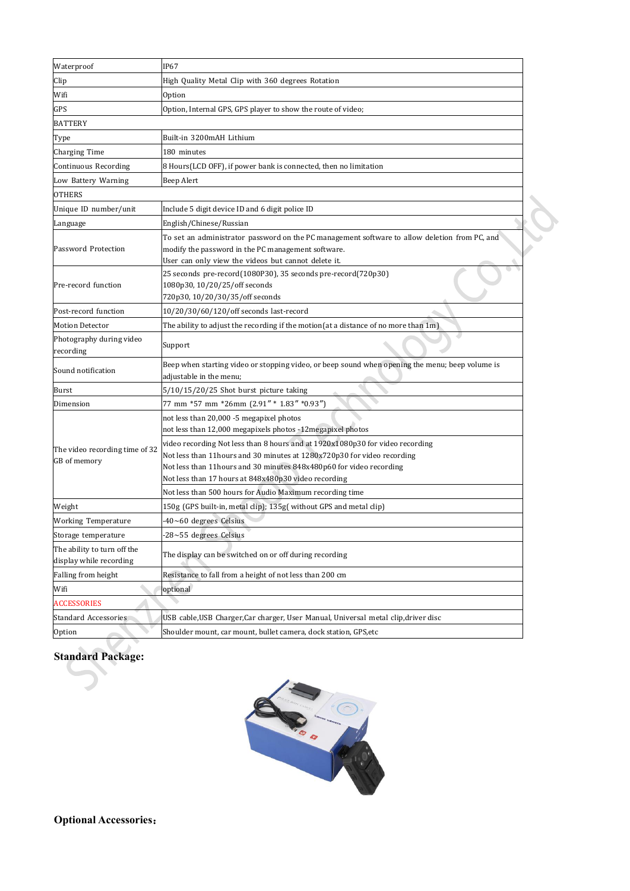| Waterproof                                             | IP67                                                                                                                                                                                                                                                                                                                                                                                                                                                             |  |
|--------------------------------------------------------|------------------------------------------------------------------------------------------------------------------------------------------------------------------------------------------------------------------------------------------------------------------------------------------------------------------------------------------------------------------------------------------------------------------------------------------------------------------|--|
| Clip                                                   | High Quality Metal Clip with 360 degrees Rotation                                                                                                                                                                                                                                                                                                                                                                                                                |  |
| Wifi                                                   | Option                                                                                                                                                                                                                                                                                                                                                                                                                                                           |  |
| GPS                                                    | Option, Internal GPS, GPS player to show the route of video;                                                                                                                                                                                                                                                                                                                                                                                                     |  |
| <b>BATTERY</b>                                         |                                                                                                                                                                                                                                                                                                                                                                                                                                                                  |  |
| Type                                                   | Built-in 3200mAH Lithium                                                                                                                                                                                                                                                                                                                                                                                                                                         |  |
| Charging Time                                          | 180 minutes                                                                                                                                                                                                                                                                                                                                                                                                                                                      |  |
| Continuous Recording                                   | 8 Hours(LCD OFF), if power bank is connected, then no limitation                                                                                                                                                                                                                                                                                                                                                                                                 |  |
| Low Battery Warning                                    | Beep Alert                                                                                                                                                                                                                                                                                                                                                                                                                                                       |  |
| <b>OTHERS</b>                                          |                                                                                                                                                                                                                                                                                                                                                                                                                                                                  |  |
| Unique ID number/unit                                  | Include 5 digit device ID and 6 digit police ID                                                                                                                                                                                                                                                                                                                                                                                                                  |  |
| Language                                               | English/Chinese/Russian                                                                                                                                                                                                                                                                                                                                                                                                                                          |  |
| Password Protection                                    | To set an administrator password on the PC management software to allow deletion from PC, and<br>modify the password in the PC management software.<br>User can only view the videos but cannot delete it.                                                                                                                                                                                                                                                       |  |
| Pre-record function                                    | 25 seconds pre-record(1080P30), 35 seconds pre-record(720p30)<br>1080p30, 10/20/25/off seconds<br>720p30, 10/20/30/35/off seconds                                                                                                                                                                                                                                                                                                                                |  |
| Post-record function                                   | 10/20/30/60/120/off seconds last-record                                                                                                                                                                                                                                                                                                                                                                                                                          |  |
| <b>Motion Detector</b>                                 | The ability to adjust the recording if the motion(at a distance of no more than 1m)                                                                                                                                                                                                                                                                                                                                                                              |  |
| Photography during video<br>recording                  | Support                                                                                                                                                                                                                                                                                                                                                                                                                                                          |  |
| Sound notification                                     | Beep when starting video or stopping video, or beep sound when opening the menu; beep volume is<br>adjustable in the menu;                                                                                                                                                                                                                                                                                                                                       |  |
| Burst                                                  | 5/10/15/20/25 Shot burst picture taking                                                                                                                                                                                                                                                                                                                                                                                                                          |  |
| Dimension                                              | 77 mm *57 mm *26mm (2.91" * 1.83" *0.93")                                                                                                                                                                                                                                                                                                                                                                                                                        |  |
| The video recording time of 32<br>GB of memory         | not less than 20,000 -5 megapixel photos<br>not less than 12,000 megapixels photos -12 megapixel photos<br>video recording Not less than 8 hours and at 1920x1080p30 for video recording<br>Not less than 11 hours and 30 minutes at 1280x720p30 for video recording<br>Not less than 11 hours and 30 minutes 848x480p60 for video recording<br>Not less than 17 hours at 848x480p30 video recording<br>Not less than 500 hours for Audio Maximum recording time |  |
| Weight                                                 | 150g (GPS built-in, metal clip); 135g( without GPS and metal clip)                                                                                                                                                                                                                                                                                                                                                                                               |  |
| <b>Working Temperature</b>                             | $-40$ ~60 degrees Celsius                                                                                                                                                                                                                                                                                                                                                                                                                                        |  |
| Storage temperature                                    | -28~55 degrees Celsius                                                                                                                                                                                                                                                                                                                                                                                                                                           |  |
| The ability to turn off the<br>display while recording | The display can be switched on or off during recording                                                                                                                                                                                                                                                                                                                                                                                                           |  |
| Falling from height                                    | Resistance to fall from a height of not less than 200 cm                                                                                                                                                                                                                                                                                                                                                                                                         |  |
| Wifi                                                   | optional                                                                                                                                                                                                                                                                                                                                                                                                                                                         |  |
| <b>ACCESSORIES</b>                                     |                                                                                                                                                                                                                                                                                                                                                                                                                                                                  |  |
| Standard Accessories                                   | USB cable, USB Charger, Car charger, User Manual, Universal metal clip, driver disc                                                                                                                                                                                                                                                                                                                                                                              |  |
| Option                                                 | Shoulder mount, car mount, bullet camera, dock station, GPS, etc                                                                                                                                                                                                                                                                                                                                                                                                 |  |
|                                                        |                                                                                                                                                                                                                                                                                                                                                                                                                                                                  |  |

## **Standard Package:**